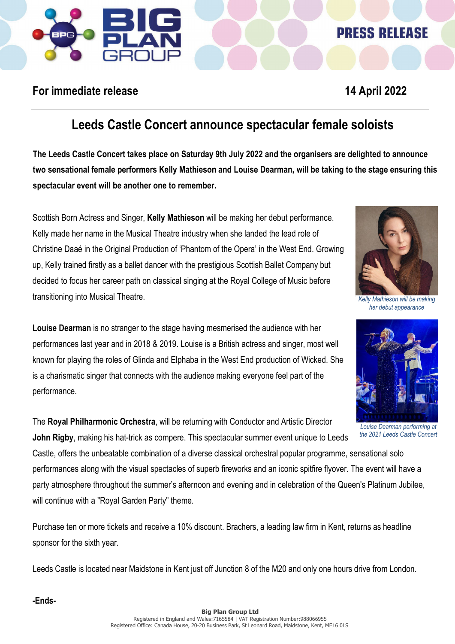# **PRESS RELEASE**

## **For immediate release 14 April 2022**

## **Leeds Castle Concert announce spectacular female soloists**

**The Leeds Castle Concert takes place on Saturday 9th July 2022 and the organisers are delighted to announce two sensational female performers Kelly Mathieson and Louise Dearman, will be taking to the stage ensuring this spectacular event will be another one to remember.**

Scottish Born Actress and Singer, **Kelly Mathieson** will be making her debut performance. Kelly made her name in the Musical Theatre industry when she landed the lead role of Christine Daaé in the Original Production of 'Phantom of the Opera' in the West End. Growing up, Kelly trained firstly as a ballet dancer with the prestigious Scottish Ballet Company but decided to focus her career path on classical singing at the Royal College of Music before transitioning into Musical Theatre.



*Kelly Mathieson will be making her debut appearance*



*Louise Dearman performing at the 2021 Leeds Castle Concert* 

**Louise Dearman** is no stranger to the stage having mesmerised the audience with her performances last year and in 2018 & 2019. Louise is a British actress and singer, most well known for playing the roles of Glinda and Elphaba in the West End production of Wicked. She is a charismatic singer that connects with the audience making everyone feel part of the performance.

The **Royal Philharmonic Orchestra**, will be returning with Conductor and Artistic Director **John Rigby**, making his hat-trick as compere. This spectacular summer event unique to Leeds

Castle, offers the unbeatable combination of a diverse classical orchestral popular programme, sensational solo performances along with the visual spectacles of superb fireworks and an iconic spitfire flyover. The event will have a party atmosphere throughout the summer's afternoon and evening and in celebration of the Queen's Platinum Jubilee, will continue with a "Royal Garden Party" theme.

Purchase ten or more tickets and receive a 10% discount. Brachers, a leading law firm in Kent, returns as headline sponsor for the sixth year.

Leeds Castle is located near Maidstone in Kent just off Junction 8 of the M20 and only one hours drive from London.

**-Ends-**